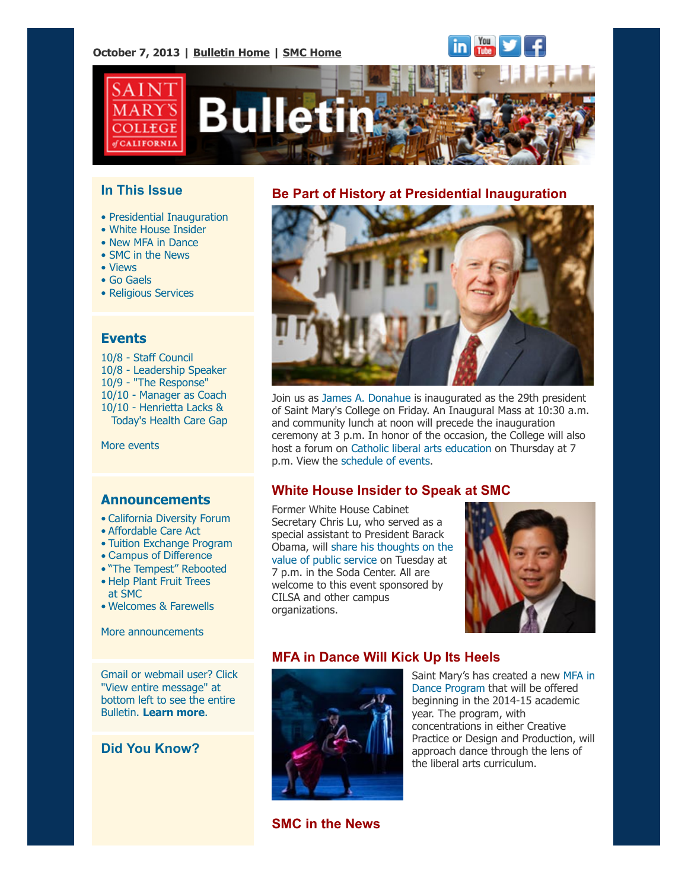#### **October 7, 2013 | [Bulletin Home](http://www.stmarys-ca.edu/smc-bulletin?utm_source=Bulletin&utm_medium=email&utm_campaign=10-07-2013) | [SMC Home](http://www.stmarys-ca.edu/?utm_source=Bulletin&utm_medium=email&utm_campaign=10-07-2013)**



### **In This Issue**

**ALIFORNIA** 

- • [Presidential Inauguration](file:///Users/smallalieu/Documents/StMarys/Bulletin/Bulletin%2010_07_13/Bulletin_10_07_13_SENT.html#inauguration)
- • [White House Insider](file:///Users/smallalieu/Documents/StMarys/Bulletin/Bulletin%2010_07_13/Bulletin_10_07_13_SENT.html#lu)
- • [New MFA in Dance](file:///Users/smallalieu/Documents/StMarys/Bulletin/Bulletin%2010_07_13/Bulletin_10_07_13_SENT.html#dance)
- • [SMC in the News](file:///Users/smallalieu/Documents/StMarys/Bulletin/Bulletin%2010_07_13/Bulletin_10_07_13_SENT.html#smcinnews)
- • [Views](file:///Users/smallalieu/Documents/StMarys/Bulletin/Bulletin%2010_07_13/Bulletin_10_07_13_SENT.html#views)
- • [Go Gaels](file:///Users/smallalieu/Documents/StMarys/Bulletin/Bulletin%2010_07_13/Bulletin_10_07_13_SENT.html#gogaels)
- • [Religious Services](file:///Users/smallalieu/Documents/StMarys/Bulletin/Bulletin%2010_07_13/Bulletin_10_07_13_SENT.html#relserv)

### **Events**

10/8 - [Staff Council](http://www.stmarys-ca.edu/staff-council-monthly-meeting?utm_source=Bulletin&utm_medium=email&utm_campaign=10-07-2013) 10/8 - [Leadership Speaker](http://www.stmarys-ca.edu/comm-dept-speakers-series-%E2%80%9Cleadership-security-safety%E2%80%9D?utm_source=Bulletin&utm_medium=email&utm_campaign=10-07-2013) 10/9 - ["The Response"](http://www.stmarys-ca.edu/the-response-inside-the-guantanamo-bay-trials?utm_source=Bulletin&utm_medium=email&utm_campaign=10-07-2013) 10/10 - [Manager as Coach](http://www.stmarys-ca.edu/the-response-inside-the-guantanamo-bay-tribunals?utm_source=Bulletin&utm_medium=email&utm_campaign=10-07-2013) 10/10 - Henrietta Lacks &  [Today's Health Care Gap](http://www.stmarys-ca.edu/henrietta-lacks-todays-health-care-gap?utm_source=Bulletin&utm_medium=email&utm_campaign=10-07-2013)

[More events](http://www.stmarys-ca.edu/calendar/63?utm_source=Bulletin&utm_medium=email&utm_campaign=09-30-2013)

#### **Announcements**

- [•](file:///Users/smallalieu/Documents/StMarys/Bulletin/Bulletin%2010_07_13/Bulletin_10_07_13_SENT.html#09_30_13_studentslearn) [California Diversity Forum](http://www.stmarys-ca.edu/sign-up-now-to-participate-in-the-california-forum-for-diversity-in-graduate-education?utm_source=Bulletin&utm_medium=email&utm_campaign=10-07-2013)
- [Affordable Care Act](http://www.stmarys-ca.edu/affordable-care-act-qa?utm_source=Bulletin&utm_medium=email&utm_campaign=10-07-2013)
- [Tuition Exchange Program](http://www.stmarys-ca.edu/tuition-exchange-program-0?utm_source=Bulletin&utm_medium=email&utm_campaign=10-07-2013)
- [Campus of Difference](http://www.stmarys-ca.edu/sign-up-for-1018-campus-of-difference-workshop?utm_source=Bulletin&utm_medium=email&utm_campaign=10-07-2013)
- ["The Tempest" Rebooted](http://www.stmarys-ca.edu/the-tempest-movie-oct-7-8?utm_source=Bulletin&utm_medium=email&utm_campaign=10-07-2013)
- [Help Plant Fruit Trees](http://www.stmarys-ca.edu/help-plant-fruit-trees-at-smc?utm_source=Bulletin&utm_medium=email&utm_campaign=10-07-2013) at SMC
- [Welcomes & Farewells](http://www.stmarys-ca.edu/welcomes-farewells?utm_source=Bulletin&utm_medium=email&utm_campaign=10-07-2013)

[More announcements](http://www.stmarys-ca.edu/smc-bulletin/announcements?utm_source=Bulletin&utm_medium=email&utm_campaign=10-07-2013)

Gmail or webmail user? Click "View entire message" at bottom left to see the entire Bulletin. **[Learn more](http://www.stmarys-ca.edu/smc-bulletin/faqs?utm_source=Bulletin&utm_medium=email&utm_campaign=10-07-2013#gmailclip3)**.

### **Did You Know?**

#### **Be Part of History at Presidential Inauguration**



Join us as [James A. Donahue](http://www.stmarys-ca.edu/president/meet-our-president?utm_source=Bulletin&utm_medium=email&utm_campaign=10-07-2013) is inaugurated as the 29th president of Saint Mary's College on Friday. An Inaugural Mass at 10:30 a.m. and community lunch at noon will precede the inauguration ceremony at 3 p.m. In honor of the occasion, the College will also host a forum on [Catholic liberal arts education](http://www.stmarys-ca.edu/president/inauguration/schedule-of-events?utm_source=Bulletin&utm_medium=email&utm_campaign=10-07-2013) on Thursday at 7 p.m. View the [schedule of events.](http://www.stmarys-ca.edu/president/inauguration/schedule-of-events?utm_source=Bulletin&utm_medium=email&utm_campaign=10-07-2013)

## **White House Insider to Speak at SMC**

Former White House Cabinet Secretary Chris Lu, who served as a special assistant to President Barack [Obama, will share his thoughts on the](http://www.stmarys-ca.edu/the-value-of-public-service-a-view-from-the-white-house?utm_source=Bulletin&utm_medium=email&utm_campaign=10-07-2013) value of public service on Tuesday at 7 p.m. in the Soda Center. All are welcome to this event sponsored by CILSA and other campus organizations.



## **MFA in Dance Will Kick Up Its Heels**



[Saint Mary's has created a new MFA in](http://www.stmarys-ca.edu/mfa-in-dance?utm_source=Bulletin&utm_medium=email&utm_campaign=10-07-2013) Dance Program that will be offered beginning in the 2014-15 academic year. The program, with concentrations in either Creative Practice or Design and Production, will approach dance through the lens of the liberal arts curriculum.

**SMC in the News**